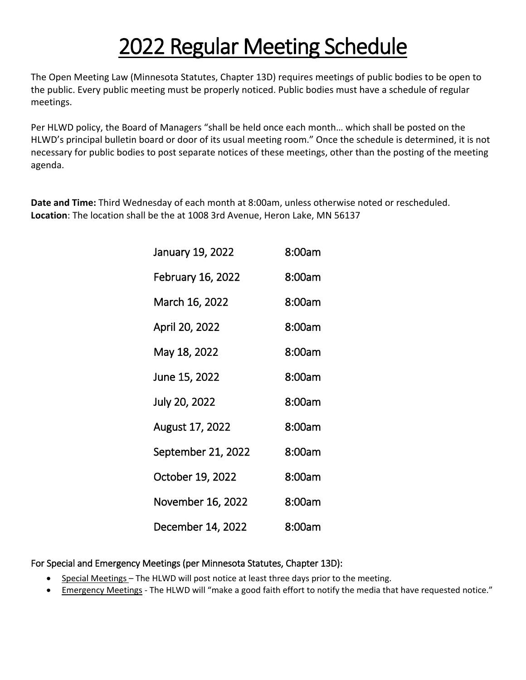## 2022 Regular Meeting Schedule

The Open Meeting Law (Minnesota Statutes, Chapter 13D) requires meetings of public bodies to be open to the public. Every public meeting must be properly noticed. Public bodies must have a schedule of regular meetings.

Per HLWD policy, the Board of Managers "shall be held once each month… which shall be posted on the HLWD's principal bulletin board or door of its usual meeting room." Once the schedule is determined, it is not necessary for public bodies to post separate notices of these meetings, other than the posting of the meeting agenda.

**Date and Time:** Third Wednesday of each month at 8:00am, unless otherwise noted or rescheduled. **Location**: The location shall be the at 1008 3rd Avenue, Heron Lake, MN 56137

| January 19, 2022   | 8:00am |
|--------------------|--------|
| February 16, 2022  | 8:00am |
| March 16, 2022     | 8:00am |
| April 20, 2022     | 8:00am |
| May 18, 2022       | 8:00am |
| June 15, 2022      | 8:00am |
| July 20, 2022      | 8:00am |
| August 17, 2022    | 8:00am |
| September 21, 2022 | 8:00am |
| October 19, 2022   | 8:00am |
| November 16, 2022  | 8:00am |
| December 14, 2022  | 8:00am |

## For Special and Emergency Meetings (per Minnesota Statutes, Chapter 13D):

- Special Meetings The HLWD will post notice at least three days prior to the meeting.
- Emergency Meetings The HLWD will "make a good faith effort to notify the media that have requested notice."